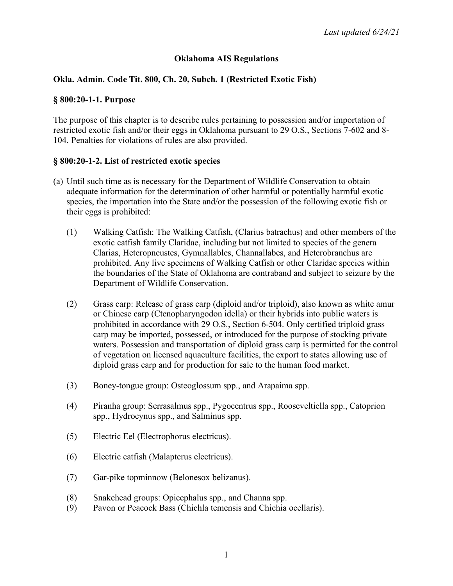## **Oklahoma AIS Regulations**

## **Okla. Admin. Code Tit. 800, Ch. 20, Subch. 1 (Restricted Exotic Fish)**

#### **§ 800:20-1-1. Purpose**

The purpose of this chapter is to describe rules pertaining to possession and/or importation of restricted exotic fish and/or their eggs in Oklahoma pursuant to 29 O.S., Sections 7-602 and 8- 104. Penalties for violations of rules are also provided.

### **§ 800:20-1-2. List of restricted exotic species**

- (a) Until such time as is necessary for the Department of Wildlife Conservation to obtain adequate information for the determination of other harmful or potentially harmful exotic species, the importation into the State and/or the possession of the following exotic fish or their eggs is prohibited:
	- (1) Walking Catfish: The Walking Catfish, (Clarius batrachus) and other members of the exotic catfish family Claridae, including but not limited to species of the genera Clarias, Heteropneustes, Gymnallables, Channallabes, and Heterobranchus are prohibited. Any live specimens of Walking Catfish or other Claridae species within the boundaries of the State of Oklahoma are contraband and subject to seizure by the Department of Wildlife Conservation.
	- (2) Grass carp: Release of grass carp (diploid and/or triploid), also known as white amur or Chinese carp (Ctenopharyngodon idella) or their hybrids into public waters is prohibited in accordance with 29 O.S., Section 6-504. Only certified triploid grass carp may be imported, possessed, or introduced for the purpose of stocking private waters. Possession and transportation of diploid grass carp is permitted for the control of vegetation on licensed aquaculture facilities, the export to states allowing use of diploid grass carp and for production for sale to the human food market.
	- (3) Boney-tongue group: Osteoglossum spp., and Arapaima spp.
	- (4) Piranha group: Serrasalmus spp., Pygocentrus spp., Rooseveltiella spp., Catoprion spp., Hydrocynus spp., and Salminus spp.
	- (5) Electric Eel (Electrophorus electricus).
	- (6) Electric catfish (Malapterus electricus).
	- (7) Gar-pike topminnow (Belonesox belizanus).
	- (8) Snakehead groups: Opicephalus spp., and Channa spp.
	- (9) Pavon or Peacock Bass (Chichla temensis and Chichia ocellaris).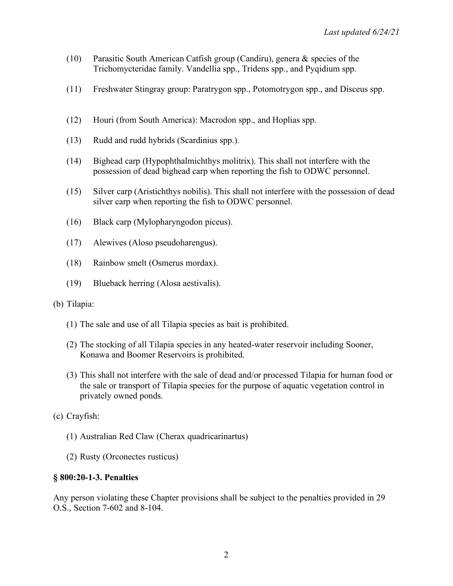- (10) Parasitic South American Catfish group (Candiru), genera & species of the Trichomycteridae family. Vandellia spp., Tridens spp., and Pyqidium spp.
- (11) Freshwater Stingray group: Paratrygon spp., Potomotrygon spp., and Disceus spp.
- (12) Houri (from South America): Macrodon spp., and Hoplias spp.
- (13) Rudd and rudd hybrids (Scardinius spp.).
- (14) Bighead carp (Hypophthalmichthys molitrix). This shall not interfere with the possession of dead bighead carp when reporting the fish to ODWC personnel.
- (15) Silver carp (Aristichthys nobilis). This shall not interfere with the possession of dead silver carp when reporting the fish to ODWC personnel.
- (16) Black carp (Mylopharyngodon piceus).
- (17) Alewives (Aloso pseudoharengus).
- (18) Rainbow smelt (Osmerus mordax).
- (19) Blueback herring (Alosa aestivalis).
- (b) Tilapia:
	- (1) The sale and use of all Tilapia species as bait is prohibited.
	- (2) The stocking of all Tilapia species in any heated-water reservoir including Sooner, Konawa and Boomer Reservoirs is prohibited.
	- (3) This shall not interfere with the sale of dead and/or processed Tilapia for human food or the sale or transport of Tilapia species for the purpose of aquatic vegetation control in privately owned ponds.
- (c) Crayfish:
	- (1) Australian Red Claw (Cherax quadricarinartus)
	- (2) Rusty (Orconectes rusticus)

#### **§ 800:20-1-3. Penalties**

Any person violating these Chapter provisions shall be subject to the penalties provided in 29 O.S., Section 7-602 and 8-104.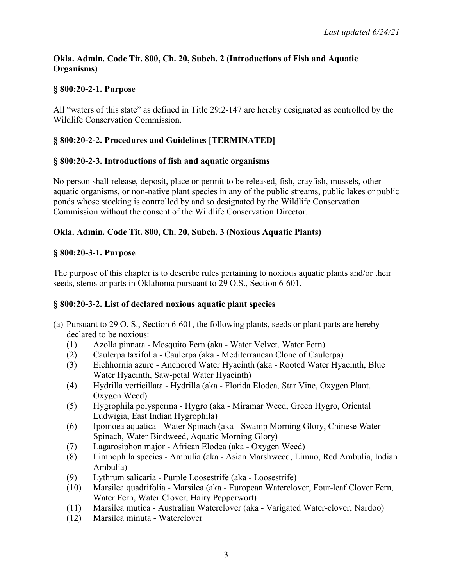## **Okla. Admin. Code Tit. 800, Ch. 20, Subch. 2 (Introductions of Fish and Aquatic Organisms)**

## **§ 800:20-2-1. Purpose**

All "waters of this state" as defined in Title 29:2-147 are hereby designated as controlled by the Wildlife Conservation Commission.

# **§ 800:20-2-2. Procedures and Guidelines [TERMINATED]**

## **§ 800:20-2-3. Introductions of fish and aquatic organisms**

No person shall release, deposit, place or permit to be released, fish, crayfish, mussels, other aquatic organisms, or non-native plant species in any of the public streams, public lakes or public ponds whose stocking is controlled by and so designated by the Wildlife Conservation Commission without the consent of the Wildlife Conservation Director.

## **Okla. Admin. Code Tit. 800, Ch. 20, Subch. 3 (Noxious Aquatic Plants)**

### **§ 800:20-3-1. Purpose**

The purpose of this chapter is to describe rules pertaining to noxious aquatic plants and/or their seeds, stems or parts in Oklahoma pursuant to 29 O.S., Section 6-601.

### **§ 800:20-3-2. List of declared noxious aquatic plant species**

- (a) Pursuant to 29 O. S., Section 6-601, the following plants, seeds or plant parts are hereby declared to be noxious:
	- (1) Azolla pinnata Mosquito Fern (aka Water Velvet, Water Fern)
	- (2) Caulerpa taxifolia Caulerpa (aka Mediterranean Clone of Caulerpa)
	- (3) Eichhornia azure Anchored Water Hyacinth (aka Rooted Water Hyacinth, Blue Water Hyacinth, Saw-petal Water Hyacinth)
	- (4) Hydrilla verticillata Hydrilla (aka Florida Elodea, Star Vine, Oxygen Plant, Oxygen Weed)
	- (5) Hygrophila polysperma Hygro (aka Miramar Weed, Green Hygro, Oriental Ludwigia, East Indian Hygrophila)
	- (6) Ipomoea aquatica Water Spinach (aka Swamp Morning Glory, Chinese Water Spinach, Water Bindweed, Aquatic Morning Glory)
	- (7) Lagarosiphon major African Elodea (aka Oxygen Weed)
	- (8) Limnophila species Ambulia (aka Asian Marshweed, Limno, Red Ambulia, Indian Ambulia)
	- (9) Lythrum salicaria Purple Loosestrife (aka Loosestrife)
	- (10) Marsilea quadrifolia Marsilea (aka European Waterclover, Four-leaf Clover Fern, Water Fern, Water Clover, Hairy Pepperwort)
	- (11) Marsilea mutica Australian Waterclover (aka Varigated Water-clover, Nardoo)
	- (12) Marsilea minuta Waterclover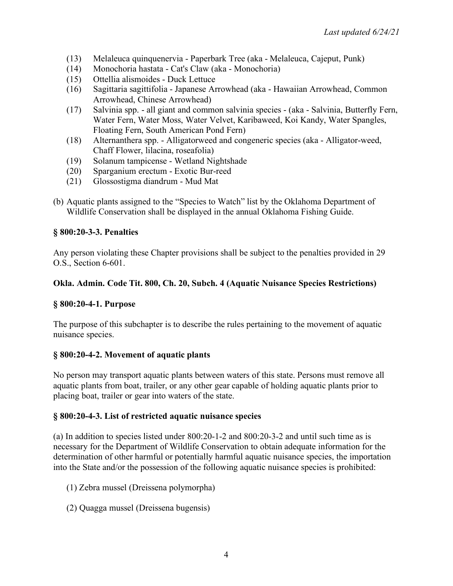- (13) Melaleuca quinquenervia Paperbark Tree (aka Melaleuca, Cajeput, Punk)
- (14) Monochoria hastata Cat's Claw (aka Monochoria)
- (15) Ottellia alismoides Duck Lettuce
- (16) Sagittaria sagittifolia Japanese Arrowhead (aka Hawaiian Arrowhead, Common Arrowhead, Chinese Arrowhead)
- (17) Salvinia spp. all giant and common salvinia species (aka Salvinia, Butterfly Fern, Water Fern, Water Moss, Water Velvet, Karibaweed, Koi Kandy, Water Spangles, Floating Fern, South American Pond Fern)
- (18) Alternanthera spp. Alligatorweed and congeneric species (aka Alligator-weed, Chaff Flower, lilacina, roseafolia)
- (19) Solanum tampicense Wetland Nightshade
- (20) Sparganium erectum Exotic Bur-reed
- (21) Glossostigma diandrum Mud Mat
- (b) Aquatic plants assigned to the "Species to Watch" list by the Oklahoma Department of Wildlife Conservation shall be displayed in the annual Oklahoma Fishing Guide.

## **§ 800:20-3-3. Penalties**

Any person violating these Chapter provisions shall be subject to the penalties provided in 29 O.S., Section 6-601.

## **Okla. Admin. Code Tit. 800, Ch. 20, Subch. 4 (Aquatic Nuisance Species Restrictions)**

### **§ 800:20-4-1. Purpose**

The purpose of this subchapter is to describe the rules pertaining to the movement of aquatic nuisance species.

### **§ 800:20-4-2. Movement of aquatic plants**

No person may transport aquatic plants between waters of this state. Persons must remove all aquatic plants from boat, trailer, or any other gear capable of holding aquatic plants prior to placing boat, trailer or gear into waters of the state.

### **§ 800:20-4-3. List of restricted aquatic nuisance species**

(a) In addition to species listed under 800:20-1-2 and 800:20-3-2 and until such time as is necessary for the Department of Wildlife Conservation to obtain adequate information for the determination of other harmful or potentially harmful aquatic nuisance species, the importation into the State and/or the possession of the following aquatic nuisance species is prohibited:

- (1) Zebra mussel (Dreissena polymorpha)
- (2) Quagga mussel (Dreissena bugensis)